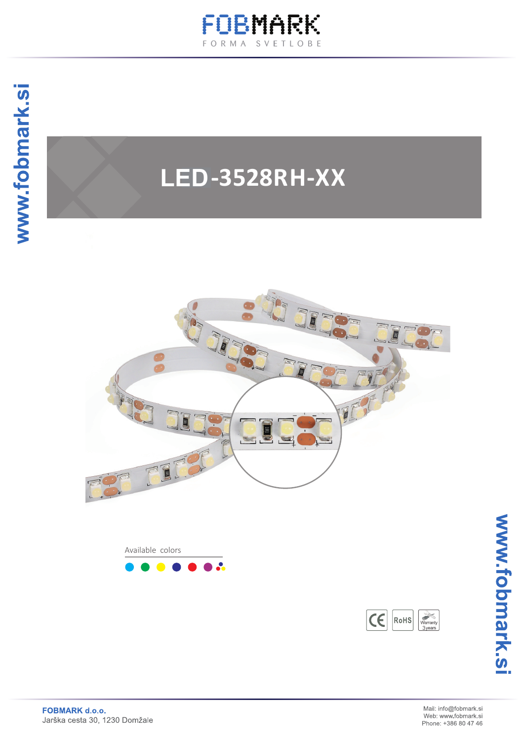

# **SC-3528RH-XX LED**



Available colors  $\mathbf{R}$ 

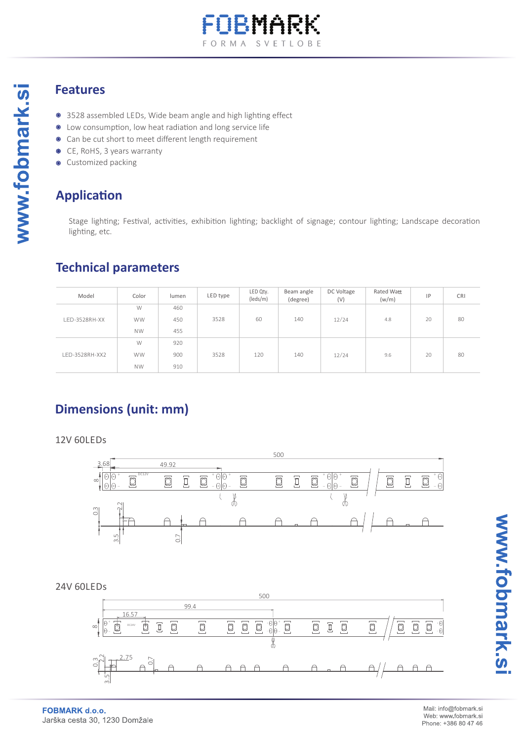

#### **Features**

www.fobmark.si

- 3528 assembled LEDs, Wide beam angle and high lighting effect
- $\bullet$  Low consumption, low heat radiation and long service life
- Can be cut short to meet different length requirement
- CE, RoHS, 3 years warranty
- Customized packing

### **Application**

Stage lighting; Festival, activities, exhibition lighting; backlight of signage; contour lighting; Landscape decoration lighting, etc.

#### **Technical parameters**

| Model          | Color     | lumen | LED type | LED Qty.<br>(leds/m) | Beam angle<br>(degree) | DC Voltage<br>(V) | Rated Watt<br>(w/m) | IP | <b>CRI</b> |
|----------------|-----------|-------|----------|----------------------|------------------------|-------------------|---------------------|----|------------|
|                | W         | 460   |          |                      |                        |                   |                     |    |            |
| LED-3528RH-XX  | <b>WW</b> | 450   | 3528     | 60                   | 140                    | 12/24             | 4.8                 | 20 | 80         |
|                | <b>NW</b> | 455   |          |                      |                        |                   |                     |    |            |
|                | W         | 920   |          |                      |                        |                   |                     |    |            |
| LED-3528RH-XX2 | <b>WW</b> | 900   | 3528     | 120                  | 140                    | 12/24             | 9.6                 | 20 | 80         |
|                | <b>NW</b> | 910   |          |                      |                        |                   |                     |    |            |

# **Dimensions (unit: mm)**

12V 60LEDs



24V 60LEDs

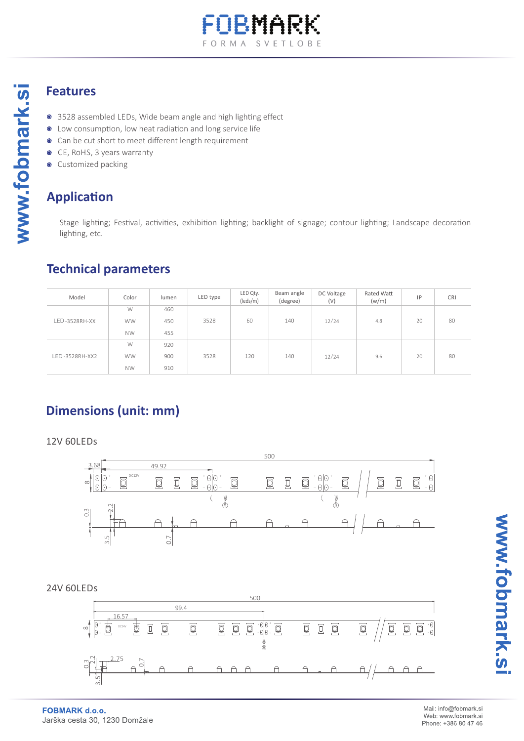

#### **Features**

www.fobmark.si

- 3528 assembled LEDs, Wide beam angle and high lighting effect
- $\bullet$ Low consumption, low heat radiation and long service life
- Can be cut short to meet different length requirement  $\bullet$
- CE, RoHS, 3 years warranty  $\bullet$
- Customized packing  $\bullet$

## **Application**

Stage lighting; Festival, activities, exhibition lighting; backlight of signage; contour lighting; Landscape decoration lighting, etc.

#### **Technical parameters**

| Model          | Color     | lumen | LED type | LED Qty.<br>(leds/m) | Beam angle<br>(degree) | DC Voltage<br>(V) | Rated Watt<br>(w/m) | IP | <b>CRI</b> |
|----------------|-----------|-------|----------|----------------------|------------------------|-------------------|---------------------|----|------------|
|                | W         | 460   |          |                      |                        |                   |                     |    |            |
| LED-3528RH-XX  | <b>WW</b> | 450   | 3528     | 60                   | 140                    | 12/24             | 4.8                 | 20 | 80         |
|                | <b>NW</b> | 455   |          |                      |                        |                   |                     |    |            |
|                | W         | 920   |          |                      |                        |                   |                     |    |            |
| LED-3528RH-XX2 | <b>WW</b> | 900   | 3528     | 120                  | 140                    | 12/24             | 9.6                 | 20 | 80         |
|                | <b>NW</b> | 910   |          |                      |                        |                   |                     |    |            |

# **Dimensions (unit: mm)**

12V 60LEDs



**FOBMARK d.o.o.** Jarška cesta 30, 1230 Domžale